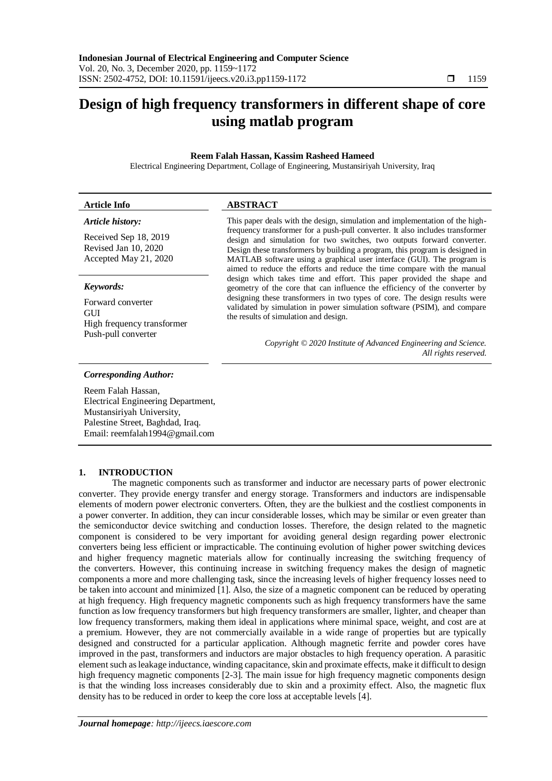# **Design of high frequency transformers in different shape of core using matlab program**

## **Reem Falah Hassan, Kassim Rasheed Hameed**

Electrical Engineering Department, Collage of Engineering, Mustansiriyah University, Iraq

| <b>Article Info</b>                                                           | <b>ABSTRACT</b>                                                                                                                                                                                                                                                                                                                                                                              |
|-------------------------------------------------------------------------------|----------------------------------------------------------------------------------------------------------------------------------------------------------------------------------------------------------------------------------------------------------------------------------------------------------------------------------------------------------------------------------------------|
| Article history:                                                              | This paper deals with the design, simulation and implementation of the high-                                                                                                                                                                                                                                                                                                                 |
| Received Sep 18, 2019<br>Revised Jan 10, 2020<br>Accepted May 21, 2020        | frequency transformer for a push-pull converter. It also includes transformer<br>design and simulation for two switches, two outputs forward converter.<br>Design these transformers by building a program, this program is designed in<br>MATLAB software using a graphical user interface (GUI). The program is<br>aimed to reduce the efforts and reduce the time compare with the manual |
| Keywords:                                                                     | design which takes time and effort. This paper provided the shape and<br>geometry of the core that can influence the efficiency of the converter by                                                                                                                                                                                                                                          |
| Forward converter<br>GUI<br>High frequency transformer<br>Push-pull converter | designing these transformers in two types of core. The design results were<br>validated by simulation in power simulation software (PSIM), and compare<br>the results of simulation and design.                                                                                                                                                                                              |
|                                                                               | Copyright © 2020 Institute of Advanced Engineering and Science.<br>All rights reserved.                                                                                                                                                                                                                                                                                                      |

#### *Corresponding Author:*

Reem Falah Hassan, Electrical Engineering Department, Mustansiriyah University, Palestine Street, Baghdad, Iraq. Email: reemfalah1994@gmail.com

## **1. INTRODUCTION**

The magnetic components such as transformer and inductor are necessary parts of power electronic converter. They provide energy transfer and energy storage. Transformers and inductors are indispensable elements of modern power electronic converters. Often, they are the bulkiest and the costliest components in a power converter. In addition, they can incur considerable losses, which may be similar or even greater than the semiconductor device switching and conduction losses. Therefore, the design related to the magnetic component is considered to be very important for avoiding general design regarding power electronic converters being less efficient or impracticable. The continuing evolution of higher power switching devices and higher frequency magnetic materials allow for continually increasing the switching frequency of the converters. However, this continuing increase in switching frequency makes the design of magnetic components a more and more challenging task, since the increasing levels of higher frequency losses need to be taken into account and minimized [1]. Also, the size of a magnetic component can be reduced by operating at high frequency. High frequency magnetic components such as high frequency transformers have the same function as low frequency transformers but high frequency transformers are smaller, lighter, and cheaper than low frequency transformers, making them ideal in applications where minimal space, weight, and cost are at a premium. However, they are not commercially available in a wide range of properties but are typically designed and constructed for a particular application. Although magnetic ferrite and powder cores have improved in the past, transformers and inductors are major obstacles to high frequency operation. A parasitic element such as leakage inductance, winding capacitance, skin and proximate effects, make it difficult to design high frequency magnetic components [2-3]. The main issue for high frequency magnetic components design is that the winding loss increases considerably due to skin and a proximity effect. Also, the magnetic flux density has to be reduced in order to keep the core loss at acceptable levels [4].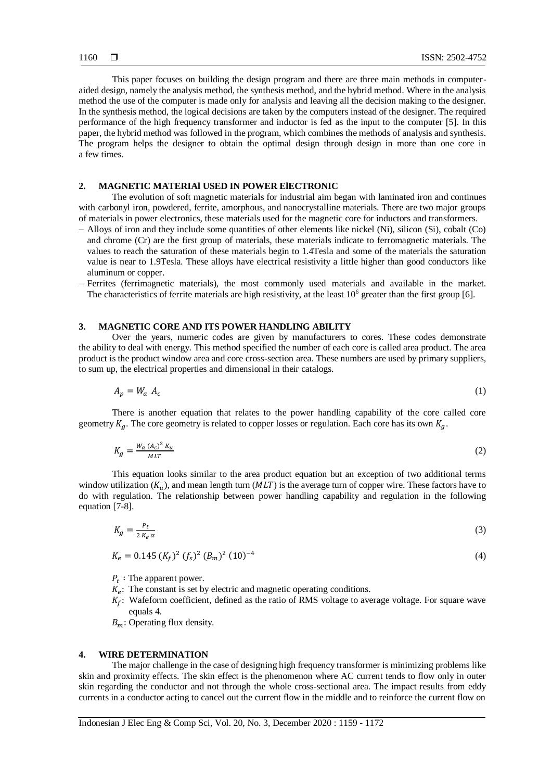This paper focuses on building the design program and there are three main methods in computeraided design, namely the analysis method, the synthesis method, and the hybrid method. Where in the analysis method the use of the computer is made only for analysis and leaving all the decision making to the designer. In the synthesis method, the logical decisions are taken by the computers instead of the designer. The required performance of the high frequency transformer and inductor is fed as the input to the computer [5]. In this paper, the hybrid method was followed in the program, which combines the methods of analysis and synthesis. The program helps the designer to obtain the optimal design through design in more than one core in a few times.

#### **2. MAGNETIC MATERIAl USED IN POWER ElECTRONIC**

The evolution of soft magnetic materials for industrial aim began with laminated iron and continues with carbonyl iron, powdered, ferrite, amorphous, and nanocrystalline materials. There are two major groups of materials in power electronics, these materials used for the magnetic core for inductors and transformers.

- Alloys of iron and they include some quantities of other elements like nickel (Ni), silicon (Si), cobalt (Co) and chrome (Cr) are the first group of materials, these materials indicate to ferromagnetic materials. The values to reach the saturation of these materials begin to 1.4Tesla and some of the materials the saturation value is near to 1.9Tesla. These alloys have electrical resistivity a little higher than good conductors like aluminum or copper.
- Ferrites (ferrimagnetic materials), the most commonly used materials and available in the market. The characteristics of ferrite materials are high resistivity, at the least  $10<sup>6</sup>$  greater than the first group [6].

## **3. MAGNETIC CORE AND ITS POWER HANDLING ABILITY**

Over the years, numeric codes are given by manufacturers to cores. These codes demonstrate the ability to deal with energy. This method specified the number of each core is called area product. The area product is the product window area and core cross-section area. These numbers are used by primary suppliers, to sum up, the electrical properties and dimensional in their catalogs.

$$
A_p = W_a A_c \tag{1}
$$

There is another equation that relates to the power handling capability of the core called core geometry  $K_a$ . The core geometry is related to copper losses or regulation. Each core has its own  $K_a$ .

$$
K_g = \frac{W_a (A_c)^2 K_u}{ML}
$$
 (2)

This equation looks similar to the area product equation but an exception of two additional terms window utilization  $(K_u)$ , and mean length turn  $(MLT)$  is the average turn of copper wire. These factors have to do with regulation. The relationship between power handling capability and regulation in the following equation [7-8].

$$
K_g = \frac{P_t}{2 K_e \alpha} \tag{3}
$$

$$
K_e = 0.145 \ (K_f)^2 \ (f_s)^2 \ (B_m)^2 \ (10)^{-4} \tag{4}
$$

 $P_t$ : The apparent power.

- $K_e$ : The constant is set by electric and magnetic operating conditions.
- $K_f$ : Wafeform coefficient, defined as the ratio of RMS voltage to average voltage. For square wave equals 4.
- $B_m$ : Operating flux density.

## **4. WIRE DETERMINATION**

The major challenge in the case of designing high frequency transformer is minimizing problems like skin and proximity effects. The skin effect is the phenomenon where AC current tends to flow only in outer skin regarding the conductor and not through the whole cross-sectional area. The impact results from eddy currents in a conductor acting to cancel out the current flow in the middle and to reinforce the current flow on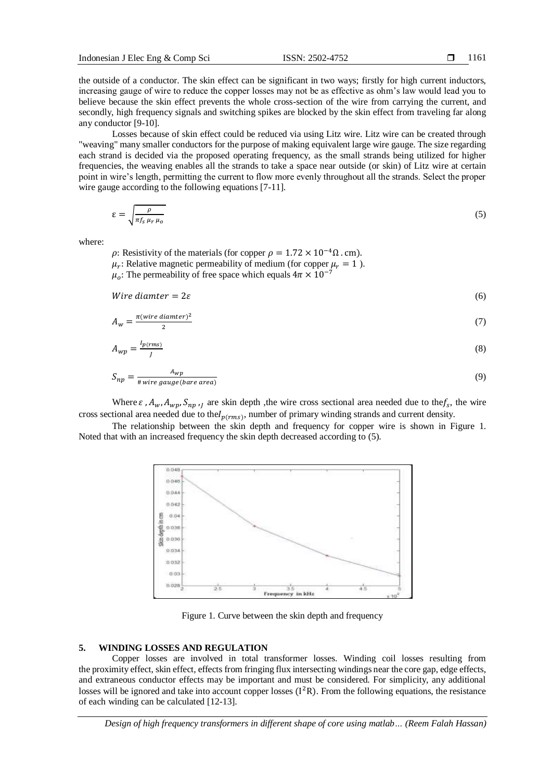the outside of a conductor. The skin effect can be significant in two ways; firstly for high current inductors, increasing gauge of wire to reduce the copper losses may not be as effective as ohm's law would lead you to believe because the skin effect prevents the whole cross-section of the wire from carrying the current, and secondly, high frequency signals and switching spikes are blocked by the skin effect from traveling far along any conductor [9-10].

Losses because of skin effect could be reduced via using Litz wire. Litz wire can be created through "weaving" many smaller conductors for the purpose of making equivalent large wire gauge. The size regarding each strand is decided via the proposed operating frequency, as the small strands being utilized for higher frequencies, the weaving enables all the strands to take a space near outside (or skin) of Litz wire at certain point in wire's length, permitting the current to flow more evenly throughout all the strands. Select the proper wire gauge according to the following equations [7-11].

$$
\varepsilon = \sqrt{\frac{\rho}{\pi f_S \mu_r \mu_o}}\tag{5}
$$

where:

 $\rho$ : Resistivity of the materials (for copper  $\rho = 1.72 \times 10^{-4} \Omega$ . cm).  $\mu_r$ : Relative magnetic permeability of medium (for copper  $\mu_r = 1$ ).  $\mu_o$ : The permeability of free space which equals  $4\pi \times 10^{-7}$ 

$$
Wire\,diameter = 2\varepsilon \tag{6}
$$

$$
A_w = \frac{\pi(wire \ diameter)^2}{2} \tag{7}
$$

$$
A_{wp} = \frac{I_{p(rms)}}{I} \tag{8}
$$

$$
S_{np} = \frac{A_{wp}}{\# wire\ gauge(bare\ area)}\tag{9}
$$

Where  $\varepsilon$ ,  $A_w$ ,  $A_{wp}$ ,  $S_{np}$ ,  $j$  are skin depth, the wire cross sectional area needed due to the  $f_s$ , the wire cross sectional area needed due to the  $I_{p(rms)}$ , number of primary winding strands and current density.

The relationship between the skin depth and frequency for copper wire is shown in Figure 1. Noted that with an increased frequency the skin depth decreased according to (5).



Figure 1. Curve between the skin depth and frequency

#### **5. WINDING LOSSES AND REGULATION**

Copper losses are involved in total transformer losses. Winding coil losses resulting from the proximity effect, skin effect, effects from fringing flux intersecting windings near the core gap, edge effects, and extraneous conductor effects may be important and must be considered. For simplicity, any additional losses will be ignored and take into account copper losses (I<sup>2</sup>R). From the following equations, the resistance of each winding can be calculated [12-13].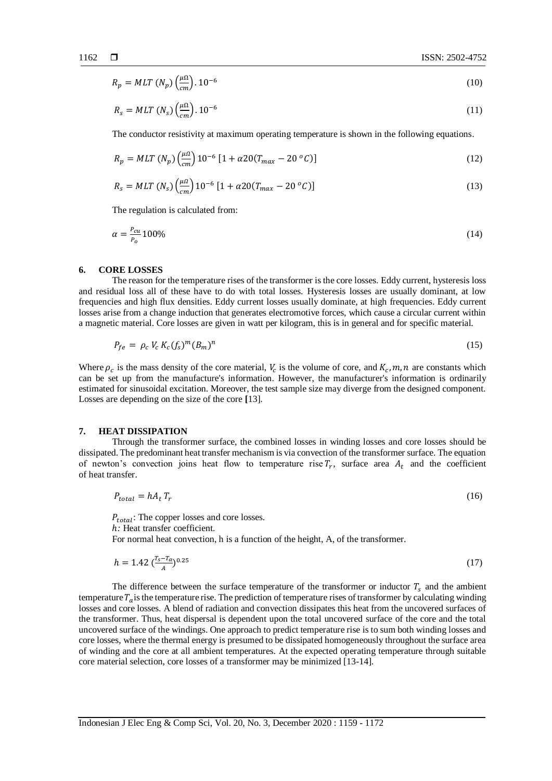$$
R_p = MLT \left( N_p \right) \left( \frac{\mu \Omega}{cm} \right) .10^{-6} \tag{10}
$$

$$
R_s = MLT \left( N_s \right) \left( \frac{\mu \Omega}{cm} \right) .10^{-6}
$$
\n<sup>(11)</sup>

The conductor resistivity at maximum operating temperature is shown in the following equations.

$$
R_p = MLT (N_p) \left(\frac{\mu a}{cm}\right) 10^{-6} \left[1 + \alpha 20 (T_{max} - 20^{\circ} C)\right]
$$
 (12)

$$
R_s = MLT (N_s) \left(\frac{\mu a}{cm}\right) 10^{-6} \left[1 + \alpha 20 (T_{max} - 20^{\circ} C)\right]
$$
 (13)

The regulation is calculated from:

$$
\alpha = \frac{P_{cu}}{P_o} 100\%
$$
\n<sup>(14)</sup>

#### **6. CORE LOSSES**

The reason for the temperature rises of the transformer is the core losses. Eddy current, hysteresis loss and residual loss all of these have to do with total losses. Hysteresis losses are usually dominant, at low frequencies and high flux densities. Eddy current losses usually dominate, at high frequencies. Eddy current losses arise from a change induction that generates electromotive forces, which cause a circular current within a magnetic material. Core losses are given in watt per kilogram, this is in general and for specific material.

$$
P_{fe} = \rho_c V_c K_c (f_s)^m (B_m)^n \tag{15}
$$

Where  $\rho_c$  is the mass density of the core material,  $V_c$  is the volume of core, and  $K_c$ , m, n are constants which can be set up from the manufacture's information. However, the manufacturer's information is ordinarily estimated for sinusoidal excitation. Moreover, the test sample size may diverge from the designed component. Losses are depending on the size of the core **[**13].

#### **7. HEAT DISSIPATION**

Through the transformer surface, the combined losses in winding losses and core losses should be dissipated. The predominant heat transfer mechanism is via convection of the transformer surface. The equation of newton's convection joins heat flow to temperature rise  $T_r$ , surface area  $A_t$  and the coefficient of heat transfer.

$$
P_{total} = hA_t T_r \tag{16}
$$

 $P_{total}$ : The copper losses and core losses. h: Heat transfer coefficient. For normal heat convection, h is a function of the height, A, of the transformer.

$$
h = 1.42 \left( \frac{T_s - T_a}{A} \right)^{0.25} \tag{17}
$$

The difference between the surface temperature of the transformer or inductor  $T_s$  and the ambient temperature  $T_a$  is the temperature rise. The prediction of temperature rises of transformer by calculating winding losses and core losses. A blend of radiation and convection dissipates this heat from the uncovered surfaces of the transformer. Thus, heat dispersal is dependent upon the total uncovered surface of the core and the total uncovered surface of the windings. One approach to predict temperature rise is to sum both winding losses and core losses, where the thermal energy is presumed to be dissipated homogeneously throughout the surface area of winding and the core at all ambient temperatures. At the expected operating temperature through suitable core material selection, core losses of a transformer may be minimized [13-14].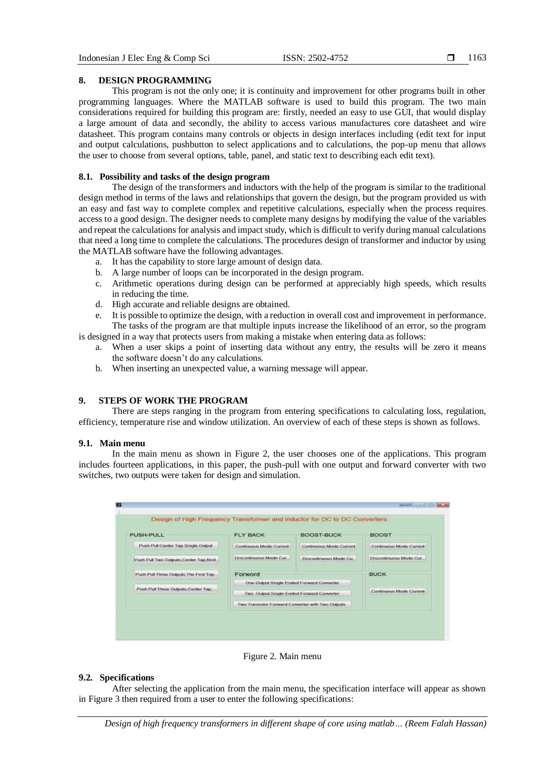## 1163

## **8. DESIGN PROGRAMMING**

This program is not the only one; it is continuity and improvement for other programs built in other programming languages. Where the MATLAB software is used to build this program. The two main considerations required for building this program are: firstly, needed an easy to use GUI, that would display a large amount of data and secondly, the ability to access various manufactures core datasheet and wire datasheet. This program contains many controls or objects in design interfaces including (edit text for input and output calculations, pushbutton to select applications and to calculations, the pop-up menu that allows the user to choose from several options, table, panel, and static text to describing each edit text).

## **8.1. Possibility and tasks of the design program**

The design of the transformers and inductors with the help of the program is similar to the traditional design method in terms of the laws and relationships that govern the design, but the program provided us with an easy and fast way to complete complex and repetitive calculations, especially when the process requires access to a good design. The designer needs to complete many designs by modifying the value of the variables and repeat the calculations for analysis and impact study, which is difficult to verify during manual calculations that need a long time to complete the calculations. The procedures design of transformer and inductor by using the MATLAB software have the following advantages.

- a. It has the capability to store large amount of design data.
- b. A large number of loops can be incorporated in the design program.
- c. Arithmetic operations during design can be performed at appreciably high speeds, which results in reducing the time.
- d. High accurate and reliable designs are obtained.
- e. It is possible to optimize the design, with a reduction in overall cost and improvement in performance. The tasks of the program are that multiple inputs increase the likelihood of an error, so the program

is designed in a way that protects users from making a mistake when entering data as follows: a. When a user skips a point of inserting data without any entry, the results will be zero it means

- the software doesn't do any calculations.
- b. When inserting an unexpected value, a warning message will appear.

## **9. STEPS OF WORK THE PROGRAM**

There are steps ranging in the program from entering specifications to calculating loss, regulation, efficiency, temperature rise and window utilization. An overview of each of these steps is shown as follows.

#### **9.1. Main menu**

In the main menu as shown in Figure 2, the user chooses one of the applications. This program includes fourteen applications, in this paper, the push-pull with one output and forward converter with two switches, two outputs were taken for design and simulation.

| PUSH-PULL                                | <b>FLY BACK</b>                                   | BOOST-BUCK                                                   | <b>MAY AN END</b><br><b>BOOST</b> |
|------------------------------------------|---------------------------------------------------|--------------------------------------------------------------|-----------------------------------|
| Push Pull Center Tap Smgle Output        | Contragus Mode Catterd                            | <b>Continuous Mode Current</b>                               | Continuous Mode Current           |
| Push Pull Two Outputs Center Tap Bod.    | Distantingue Mode Car.                            | Directedination Mode Car.                                    | Discontinuous Mode Car.           |
| Plate Pull Three Clubsch, The First Top. | Forword                                           | <b>BUCK</b>                                                  |                                   |
|                                          | Cire Clubul Single Ended Forward Converter        | <b>CONTRACTOR</b>                                            |                                   |
| Push Pull Three Outputs, Center Tap.     | Two: Output Single Ended Forward Converter.       | Continuous Model Current<br><b>ARMITIAN ARRIVER SECURITY</b> |                                   |
|                                          | Two Transport Forward Converter with Two Outputs. |                                                              |                                   |

Figure 2. Main menu

## **9.2. Specifications**

After selecting the application from the main menu, the specification interface will appear as shown in Figure 3 then required from a user to enter the following specifications: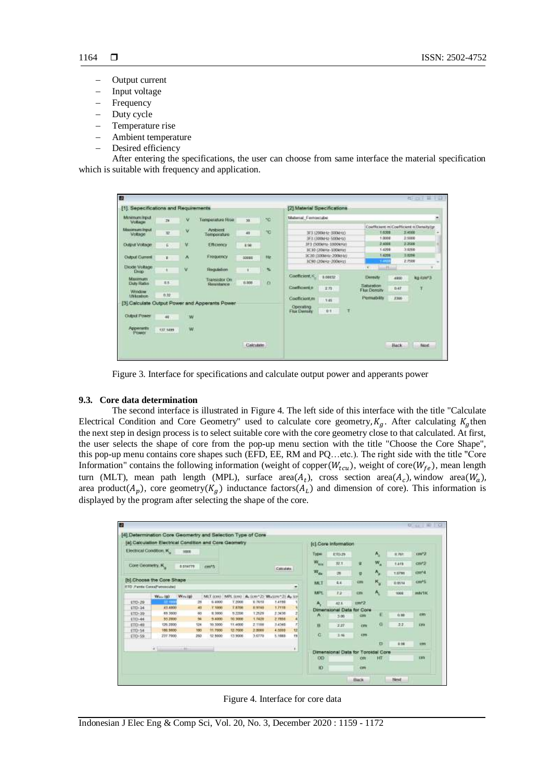- Output current
- Input voltage
- Frequency
- Duty cycle
- Temperature rise
- Ambient temperature
- Desired efficiency

After entering the specifications, the user can choose from same interface the material specification which is suitable with frequency and application.

| m                                      |           |   |                                                 |                    |     |                                        |                                             |   |                                            |                     |                  | 1 二 三 二                                         |
|----------------------------------------|-----------|---|-------------------------------------------------|--------------------|-----|----------------------------------------|---------------------------------------------|---|--------------------------------------------|---------------------|------------------|-------------------------------------------------|
| [1]. Sepecifications and Requirements. |           |   |                                                 |                    |     | [2] Material Specifications            |                                             |   |                                            |                     |                  |                                                 |
| Minenem input<br><b>Vollage</b>        | 24        | ٧ | Temporature Fese                                | 38                 | 5C  | Malarrat Ferroscube                    |                                             |   |                                            |                     |                  |                                                 |
| Maximum Input<br>Voltage               | <b>XP</b> | v | Arribsent<br>Temporature                        | 41                 | ۰c  |                                        | 3F3 1200kHz-300kHz)<br>3F3 (300kHz-500kHz)  |   |                                            | $-1.6208$<br>1,0000 | 2,4506<br>2:5008 | Coefficient in Coefficient in Densityite:<br>i. |
| <b>Output Voltage</b>                  | 6         | × | <b>Efficiency</b>                               | # 5k               |     |                                        | 3F3 (5004Hz-10004Hz)<br>1C10 (206Hz-1006Hz) |   |                                            | 3.6006<br>1.0700    | 3,3506<br>3.0208 |                                                 |
| <b>Cutput Current</b>                  | ٠         | ٨ | <b>Frequency</b>                                | 30005              | 102 |                                        | 3C30 (100kHz-200kHz)<br>3C90 (20kHz-200kHz) |   |                                            | 1.4208              | 3.0296<br>2,7508 |                                                 |
| <b>Diode Voltage</b><br><b>Drup</b>    | ٠         | v | Regulates                                       | ٠                  | ×   |                                        |                                             |   | ÷                                          | $=$                 |                  |                                                 |
| MAXIMUM<br><b>Duty Robo</b>            | 18.8      |   | Transistor On<br><b>Generalmyco</b>             | 8,908              | o   | Coefficient, K.<br><b>Conficient n</b> | 8.00032                                     |   | Dematy<br>Sabratos                         |                     | 4900             | <b>Kig Agent 3</b>                              |
| Window<br><b>Sfirknation</b>           | 0.32      |   |                                                 |                    |     | Coafficient.m                          | 王方                                          |   | <b>Flui: Density</b><br><b>Permatility</b> |                     | 0.47<br>3300     | τ                                               |
|                                        |           |   | [3] Calculate Output Power and Apperants Power- |                    |     | Operating<br>Filer Demony              | 7.45<br>0.1                                 | Ħ |                                            |                     |                  |                                                 |
| <b>Clubral Province</b>                | 48        | w |                                                 |                    |     |                                        |                                             |   |                                            |                     |                  |                                                 |
| Appenants<br>Power                     | 137.1499  | W |                                                 |                    |     |                                        |                                             |   |                                            |                     |                  |                                                 |
|                                        |           |   |                                                 | <b>Claircatate</b> |     |                                        |                                             |   |                                            | <b>Batk</b>         |                  | $1 - 11$<br>Nord                                |

Figure 3. Interface for specifications and calculate output power and apperants power

## **9.3. Core data determination**

The second interface is illustrated in Figure 4. The left side of this interface with the title "Calculate Electrical Condition and Core Geometry" used to calculate core geometry,  $K_q$ . After calculating  $K_q$  then the next step in design process is to select suitable core with the core geometry close to that calculated. At first, the user selects the shape of core from the pop-up menu section with the title "Choose the Core Shape", this pop-up menu contains core shapes such (EFD, EE, RM and PQ…etc.). The right side with the title "Core Information" contains the following information (weight of copper( $W_{tcu}$ ), weight of core( $W_{fe}$ ), mean length turn (MLT), mean path length (MPL), surface area $(A_t)$ , cross section area $(A_c)$ , window area $(W_a)$ , area product $(A_p)$ , core geometry $(K_g)$  inductance factors $(A_L)$  and dimension of core). This information is displayed by the program after selecting the shape of the core.

|                   | (a) Calculation Electrical Condition and Core Geometry |               |                |               |        |                                                          |           |                   | (c).Core Information               |              |             |              |                          |
|-------------------|--------------------------------------------------------|---------------|----------------|---------------|--------|----------------------------------------------------------|-----------|-------------------|------------------------------------|--------------|-------------|--------------|--------------------------|
|                   | Electrical Condition, K.                               | 1000          |                |               |        |                                                          |           | <b>Type</b>       | 七甲25                               |              | A.          | <b>B.761</b> | <b>CONTRACTOR</b><br>cm2 |
| Core Geometry, K. |                                                        | 0.034779      | cm35           |               |        |                                                          |           | $W_{\text{triv}}$ | 32.1                               | ú.           | w.          | 1,419        | cm/2                     |
|                   |                                                        |               |                |               |        | Colcidate                                                |           | W <sub>di</sub>   | CNI                                | $\mathbf{u}$ | ۸,          | 1,0791       | cm <sub>4</sub>          |
|                   | [b] Choose the Core Shape                              |               |                |               |        |                                                          |           | MET               | 8.8                                | <b>CIRE</b>  | ĸ,          | 0.0514       | cm <sup>+5</sup>         |
|                   | ETD Farrist Corpul Vecesside)                          |               |                |               |        |                                                          | $\bullet$ | <b>MPL</b>        | $x_{B}$                            | <b>COV</b>   | A.          | 1008         | miv160                   |
| LTD-29            | West 140 11                                            | Westall<br>28 | 6,4900         | <b>T.2008</b> | 9.7619 | MLT (cm) / MPL (cm) / A (cm-2) W (cm-2) A (cf)<br>1.4190 |           |                   |                                    |              |             |              |                          |
| <b>ETD-34</b>     | 43,4800                                                | 40            | $V$ times      | <b>TATOE</b>  | 0.9145 | 1.7111                                                   |           | А,                | 42.6                               | $nm^2$       |             |              |                          |
| <b>ETD-30</b>     | 85,3500                                                | 60            | 9,3800         | 9,2208        | 1,2529 | 2.3430                                                   |           |                   | Dimensional Data for Core          |              |             |              | rm                       |
| ETD-44            | 33,2500                                                | 94            | 9.4300         | 10,3008       | 1.7439 | 2,7858                                                   |           | A                 | 3.06                               | <b>CZER</b>  | E           | 0.88         |                          |
| £1D-49            | 126,2000                                               | 124           | 30,3000        | TT.4000       | 2.1108 | 3,4348                                                   |           | $\mathbf{H}$      | 2.21                               | rm           | $\mathbf G$ | 22           | <b>Crts</b>              |
| ETD-54            | 186,9000                                               | 100           | <b>91.7500</b> | 13,7008       | 2 8000 | 4.5000                                                   | 12        |                   |                                    |              |             |              |                          |
| ETD-59.           | 237,7900                                               | 260           | 12,9000        | 13,9006       | 3.6778 | 5.1883                                                   | <b>IS</b> | α                 | 3.60                               | <b>CTTT</b>  |             |              |                          |
|                   |                                                        |               |                |               |        |                                                          |           |                   |                                    |              | n           | 9.96         | <b>TIN</b>               |
|                   | ¥                                                      | cili          |                |               |        |                                                          | ¥         |                   | Dimensional Oata for Toroldal Core |              |             |              |                          |
|                   |                                                        |               |                |               |        |                                                          |           | <b>OD</b>         |                                    | om           | HШ          |              | Em                       |
|                   |                                                        |               |                |               |        |                                                          |           |                   |                                    |              |             |              |                          |

Figure 4. Interface for core data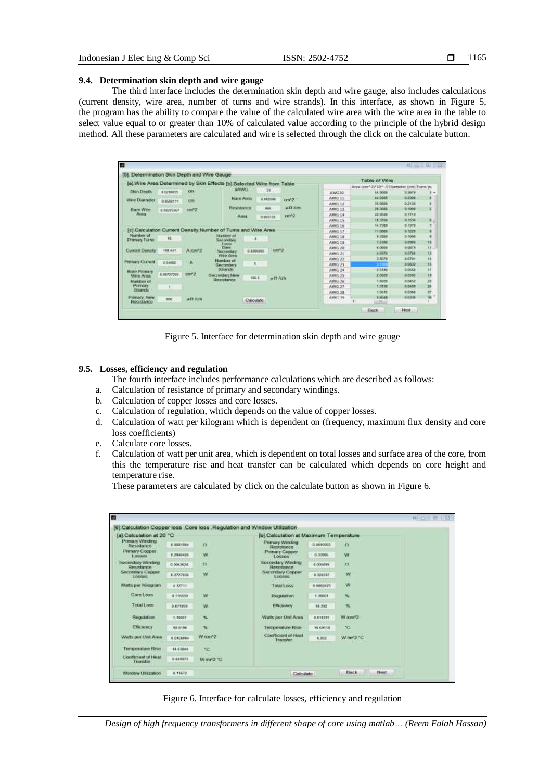#### **9.4. Determination skin depth and wire gauge**

The third interface includes the determination skin depth and wire gauge, also includes calculations (current density, wire area, number of turns and wire strands). In this interface, as shown in Figure 5, the program has the ability to compare the value of the calculated wire area with the wire area in the table to select value equal to or greater than 10% of calculated value according to the principle of the hybrid design method. All these parameters are calculated and wire is selected through the click on the calculate button.

|                                   |            | [5]. Determination Skin Depth and Wire Gauge- |                                                                        |                         |          |                  |        | Table of Wire                             |                      |                 |
|-----------------------------------|------------|-----------------------------------------------|------------------------------------------------------------------------|-------------------------|----------|------------------|--------|-------------------------------------------|----------------------|-----------------|
|                                   |            |                                               | [a] Wire Area Determined by Skin Effects [b] Selected Wire from Table- |                         |          |                  |        | Area (cm^2)*10^-3 Overseter (cm) Turrn ps |                      |                 |
| Skin Depth                        | 8.0294055  | OB                                            | <b>WAVARTI</b>                                                         |                         | -21      |                  | AWG10  | 18,5008                                   | E 2676               | ÷               |
| Wre Diameter                      |            |                                               | Bare Area                                                              |                         | 8.062598 | unt').           | AWD 11 | 44,0006                                   | 11,2006              |                 |
|                                   | 0.9562111  | 3,221                                         |                                                                        |                         |          |                  | AWD 12 | <b>36,6000</b>                            | 0.2138               |                 |
| <b>Slower Willey</b>              | B.6627GIG2 | cm/2                                          | Resistance                                                             |                         | 600      | <b>ALCO ROWS</b> | AWD 13 | 28,3686                                   | o more.              |                 |
| Area                              |            |                                               | Arest                                                                  |                         | 1110313A | cm <sup>2</sup>  | AWG 14 | 22,9646                                   | <b>B KF4B</b>        |                 |
|                                   |            |                                               |                                                                        |                         |          |                  | AWG 15 | 18,3700                                   | 0.4530               | ĸ               |
|                                   |            |                                               |                                                                        |                         |          |                  | AWG 16 | 14,7300                                   | $D$ (1978)           |                 |
|                                   |            |                                               | [c] Calculation Current Density Number of Turns and Wire Area          |                         |          |                  | AWG 17 | 11,6888                                   | <b>D-1029</b>        |                 |
| <b>Number of</b>                  | 16         |                                               | his comes of                                                           |                         |          |                  | AWG 18 | 9.5268                                    | <b>D-5090</b>        |                 |
| <b>Primary Turns</b>              |            |                                               | Secondary<br>Tistani                                                   |                         |          |                  | AWG 19 | <b>Felde</b>                              | 9,0988               | <b>TE</b>       |
|                                   | 198,441    |                                               | <b>Darw</b>                                                            |                         | iners.   |                  | AWG 20 | 6,0666                                    | <b><i>DIGETS</i></b> | 11              |
| <b>Current Density</b>            |            | A <i>low</i> <sup>2</sup> 2                   | Secondary<br>Wee Aires                                                 | <b><i>O ESSIGNS</i></b> |          |                  | AWG 21 | 4,6378                                    | 8.0746               | Đ               |
|                                   |            |                                               | Number of                                                              |                         |          |                  | AW0 22 | 3,6624                                    | 8.0701               | ¥4              |
| <b>Primary Gument</b>             | 2.94092    | ٨                                             | Secondary                                                              | x                       | ٠        |                  | AW0.23 | <b>PERTIT</b>                             | 0.0632               | Ħ               |
| <b>Bare Primary</b>               |            |                                               | <b>Sharyle</b>                                                         | m                       |          |                  | AWG 24 | 2.5148                                    | n osca               | $\overline{17}$ |
| WHI Area                          | 8.00727265 | cm <sub>2</sub>                               | Secretian New                                                          | <b>HALL</b>             | $+10$ km |                  | AWG 25 | 2,0008                                    | <b>D-0506</b>        | $\blacksquare$  |
| Number of                         |            |                                               | Resentance                                                             |                         |          |                  | AWG 24 | 1.6038                                    | 0.0452               |                 |
| Primary                           | ÷.         |                                               |                                                                        |                         |          |                  | AWG 27 | 1,9198                                    | <b>BIGACH</b>        | 四頭              |
| <b>Hitchcock</b>                  |            |                                               |                                                                        |                         |          |                  | AWG 28 | 1.0636                                    | <b>BISTING</b>       | n               |
| <b>Primary, New</b><br>Resistance | $-006$     | <b>HO ICIO</b>                                |                                                                        | Calculate               |          |                  | AWD 20 | 19648<br>1/881                            | 8.0338               | se r            |



#### **9.5. Losses, efficiency and regulation**

The fourth interface includes performance calculations which are described as follows:

- a. Calculation of resistance of primary and secondary windings.
- b. Calculation of copper losses and core losses.
- c. Calculation of regulation, which depends on the value of copper losses.
- d. Calculation of watt per kilogram which is dependent on (frequency, maximum flux density and core loss coefficients)
- e. Calculate core losses.
- f. Calculation of watt per unit area, which is dependent on total losses and surface area of the core, from this the temperature rise and heat transfer can be calculated which depends on core height and temperature rise.

These parameters are calculated by click on the calculate button as shown in Figure 6.

|                                           |           |                                    | [6] Calculation Copper loss ,Core loss ,Regulation and Window Utilization |           |                |
|-------------------------------------------|-----------|------------------------------------|---------------------------------------------------------------------------|-----------|----------------|
| [a] Calculation at 20 °C                  |           |                                    | [b] Calculation at Maximum Temperature                                    |           |                |
| <b>Primary Winding</b><br>Resistance      | 0.0031994 | $\alpha$                           | <b>Frimary Winding</b><br>Herzstance                                      | 0.0015550 | $\Omega$       |
| <b>Primary Copper</b><br><b>L'oscarte</b> | 0.2040426 | W                                  | Primary Copper<br>Logons                                                  | 0.33006   | W              |
| <b>Becondary Winding</b><br>Resistance    | 0.0042924 | 12                                 | <b>Secondary Winding</b><br>Resistance                                    | 8.005099  | a              |
| Secondary Copper<br>Losses                | 0.3727936 | w                                  | Secondary Copper<br>Looses                                                | 0.326387  | w              |
| Watts per Kilognam                        | #12711    |                                    | <b>Total Loss</b>                                                         | R 6662475 | w              |
| Core Loss                                 | 0.110000  | W.                                 | Regulation                                                                | 1,38601   | ×.             |
| <b>Total Loss</b>                         | 0.671859  | W                                  | <b>Finance</b>                                                            | 55,352    | 骗              |
| Regulation                                | 1.90007   | 46                                 | Watts per Unit Area                                                       | 0.018391  | W/ow?2         |
| Efficiency                                | 38.6156   | 96                                 | Temperature Rise.                                                         | 16 59118  | PO.            |
| Watts per Unit Area                       | 0 D1580B4 | Witm <sup>*2</sup><br><b>North</b> | Coefficient of Heat<br>Trainder                                           | 4,952     | W.mr2.101      |
| Temperature Rise                          | 14.63944  | 50                                 |                                                                           |           |                |
| Confirmer of Heal<br>Transfer             | 8.645973  | W mr2 10                           |                                                                           |           |                |
| Window Utilization                        | 8.11672   |                                    | Calculate                                                                 |           | Back.<br>Next. |

Figure 6. Interface for calculate losses, efficiency and regulation

*Design of high frequency transformers in different shape of core using matlab… (Reem Falah Hassan)*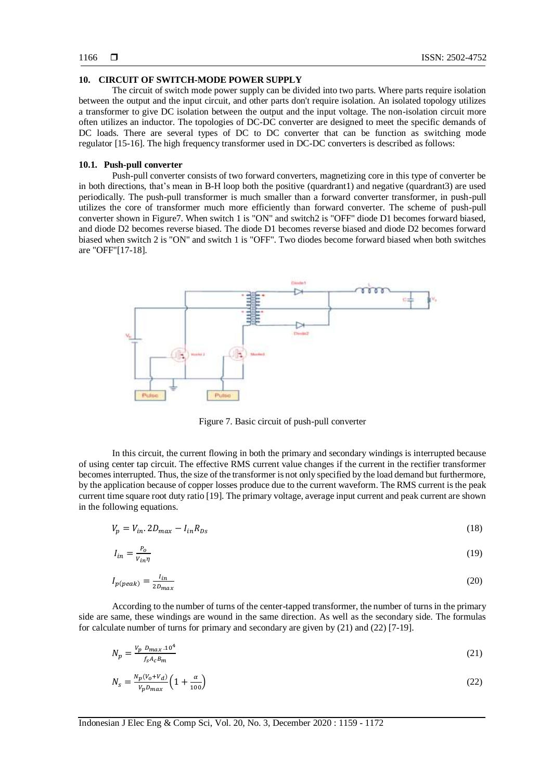#### **10. CIRCUIT OF SWITCH-MODE POWER SUPPLY**

The circuit of switch mode power supply can be divided into two parts. Where parts require isolation between the output and the input circuit, and other parts don't require isolation. An isolated topology utilizes a transformer to give DC isolation between the output and the input voltage. The non-isolation circuit more often utilizes an inductor. The topologies of DC-DC converter are designed to meet the specific demands of DC loads. There are several types of DC to DC converter that can be function as switching mode regulator [15-16]. The high frequency transformer used in DC-DC converters is described as follows:

#### **10.1. Push-pull converter**

Push-pull converter consists of two forward converters, magnetizing core in this type of converter be in both directions, that's mean in B-H loop both the positive (quardrant1) and negative (quardrant3) are used periodically. The push-pull transformer is much smaller than a forward converter transformer, in push-pull utilizes the core of transformer much more efficiently than forward converter. The scheme of push-pull converter shown in Figure7. When switch 1 is "ON" and switch2 is "OFF" diode D1 becomes forward biased, and diode D2 becomes reverse biased. The diode D1 becomes reverse biased and diode D2 becomes forward biased when switch 2 is "ON" and switch 1 is "OFF". Two diodes become forward biased when both switches are "OFF"[17-18].



Figure 7. Basic circuit of push-pull converter

In this circuit, the current flowing in both the primary and secondary windings is interrupted because of using center tap circuit. The effective RMS current value changes if the current in the rectifier transformer becomes interrupted. Thus, the size of the transformer is not only specified by the load demand but furthermore, by the application because of copper losses produce due to the current waveform. The RMS current is the peak current time square root duty ratio [19]. The primary voltage, average input current and peak current are shown in the following equations.

$$
V_p = V_{in} \cdot 2D_{max} - I_{in}R_{DS} \tag{18}
$$

$$
I_{in} = \frac{P_o}{V_{in} \eta} \tag{19}
$$

$$
I_{p(\text{peak})} = \frac{I_{in}}{2D_{\text{max}}} \tag{20}
$$

According to the number of turns of the center-tapped transformer, the number of turns in the primary side are same, these windings are wound in the same direction. As well as the secondary side. The formulas for calculate number of turns for primary and secondary are given by (21) and (22) [7-19].

$$
N_p = \frac{V_p \ D_{max} .10^4}{f_S A_c B_m} \tag{21}
$$

$$
N_s = \frac{N_p (V_0 + V_d)}{V_p D_{max}} \left( 1 + \frac{\alpha}{100} \right) \tag{22}
$$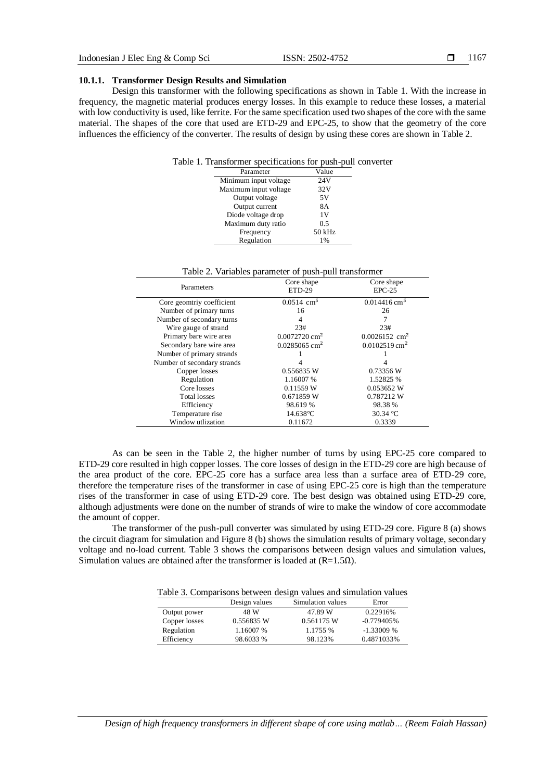### **10.1.1. Transformer Design Results and Simulation**

Design this transformer with the following specifications as shown in Table 1. With the increase in frequency, the magnetic material produces energy losses. In this example to reduce these losses, a material with low conductivity is used, like ferrite. For the same specification used two shapes of the core with the same material. The shapes of the core that used are ETD-29 and EPC-25, to show that the geometry of the core influences the efficiency of the converter. The results of design by using these cores are shown in Table 2.

| Table 1. Transformer specifications for push-pull converter |  |  |  |
|-------------------------------------------------------------|--|--|--|
|-------------------------------------------------------------|--|--|--|

| 24V<br>Minimum input voltage<br>Maximum input voltage<br>32V<br>Output voltage<br>5V | Parameter | Value |
|--------------------------------------------------------------------------------------|-----------|-------|
|                                                                                      |           |       |
|                                                                                      |           |       |
|                                                                                      |           |       |
| Output current<br><b>8A</b>                                                          |           |       |
| Diode voltage drop<br>1 V                                                            |           |       |
| Maximum duty ratio<br>0.5                                                            |           |       |
| 50 kHz<br>Frequency                                                                  |           |       |
| Regulation<br>1%                                                                     |           |       |

| Table 2. Variables parameter of push-pull transformer |
|-------------------------------------------------------|
|-------------------------------------------------------|

| Parameters                  | Core shape<br>ETD-29        | Core shape<br>$EPC-25$      |
|-----------------------------|-----------------------------|-----------------------------|
| Core geomtriy coefficient   | $0.0514$ cm <sup>5</sup>    | $0.014416$ cm <sup>5</sup>  |
| Number of primary turns     | 16                          | 26                          |
| Number of secondary turns   | 4                           | 7                           |
| Wire gauge of strand        | 23#                         | 23#                         |
| Primary bare wire area      | $0.0072720$ cm <sup>2</sup> | $0.0026152$ cm <sup>2</sup> |
| Secondary bare wire area    | $0.0285065$ cm <sup>2</sup> | $0.0102519$ cm <sup>2</sup> |
| Number of primary strands   |                             |                             |
| Number of secondary strands |                             |                             |
| Copper losses               | 0.556835 W                  | 0.73356 W                   |
| Regulation                  | 1.16007 %                   | 1.52825 %                   |
| Core losses                 | 0.11559 W                   | 0.053652 W                  |
| <b>Total losses</b>         | 0.671859 W                  | 0.787212W                   |
| EffIciency                  | 98.619 %                    | 98.38 %                     |
| Temperature rise            | $14.638$ °C                 | 30.34 °C                    |
| Window utlization           | 0.11672                     | 0.3339                      |

As can be seen in the Table 2, the higher number of turns by using EPC-25 core compared to ETD-29 core resulted in high copper losses. The core losses of design in the ETD-29 core are high because of the area product of the core. EPC-25 core has a surface area less than a surface area of ETD-29 core, therefore the temperature rises of the transformer in case of using EPC-25 core is high than the temperature rises of the transformer in case of using ETD-29 core. The best design was obtained using ETD-29 core, although adjustments were done on the number of strands of wire to make the window of core accommodate the amount of copper.

The transformer of the push-pull converter was simulated by using ETD-29 core. Figure 8 (a) shows the circuit diagram for simulation and Figure 8 (b) shows the simulation results of primary voltage, secondary voltage and no-load current. Table 3 shows the comparisons between design values and simulation values, Simulation values are obtained after the transformer is loaded at  $(R=1.5\Omega)$ .

Table 3. Comparisons between design values and simulation values

|               | Design values | Simulation values | Error        |
|---------------|---------------|-------------------|--------------|
| Output power  | 48 W          | 47.89 W           | 0.22916%     |
| Copper losses | 0.556835 W    | 0.561175 W        | $-0.779405%$ |
| Regulation    | 1.16007 %     | 1.1755 %          | $-1.33009%$  |
| Efficiency    | 98.6033 %     | 98.123%           | 0.4871033%   |
|               |               |                   |              |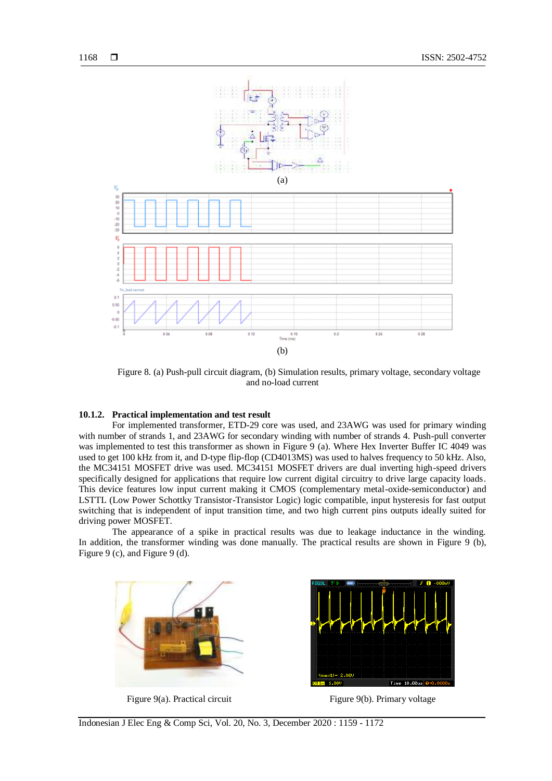

Figure 8. (a) Push-pull circuit diagram, (b) Simulation results, primary voltage, secondary voltage and no-load current

#### **10.1.2. Practical implementation and test result**

For implemented transformer, ETD-29 core was used, and 23AWG was used for primary winding with number of strands 1, and 23AWG for secondary winding with number of strands 4. Push-pull converter was implemented to test this transformer as shown in Figure 9 (a). Where Hex Inverter Buffer IC 4049 was used to get 100 kHz from it, and D-type flip-flop (CD4013MS) was used to halves frequency to 50 kHz. Also, the MC34151 MOSFET drive was used. MC34151 MOSFET drivers are dual inverting high-speed drivers specifically designed for applications that require low current digital circuitry to drive large capacity loads. This device features low input current making it CMOS (complementary metal-oxide-semiconductor) and LSTTL (Low Power Schottky Transistor-Transistor Logic) logic compatible, input hysteresis for fast output switching that is independent of input transition time, and two high current pins outputs ideally suited for driving power MOSFET.

The appearance of a spike in practical results was due to leakage inductance in the winding. In addition, the transformer winding was done manually. The practical results are shown in Figure 9 (b), Figure 9 (c), and Figure 9 (d).



Figure 9(a). Practical circuit Figure 9(b). Primary voltage

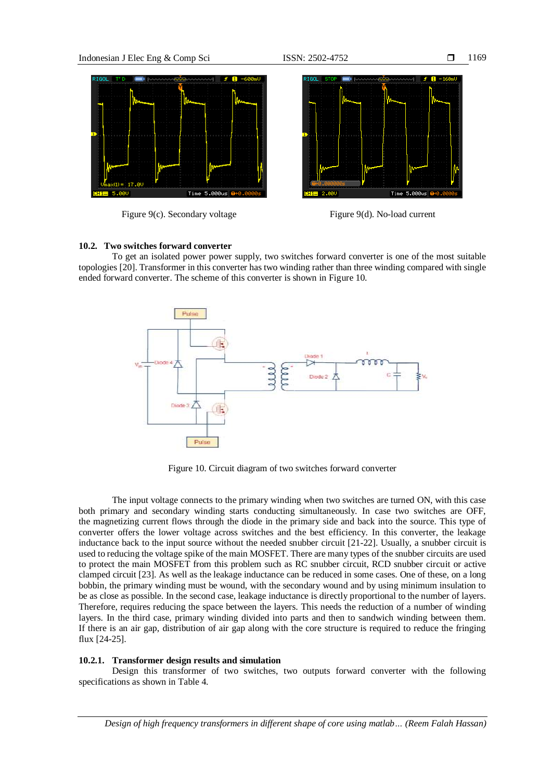

Figure 9(c). Secondary voltage Figure 9(d). No-load current

## **10.2. Two switches forward converter**

To get an isolated power power supply, two switches forward converter is one of the most suitable topologies [20]. Transformer in this converter has two winding rather than three winding compared with single ended forward converter. The scheme of this converter is shown in Figure 10.



Figure 10. Circuit diagram of two switches forward converter

The input voltage connects to the primary winding when two switches are turned ON, with this case both primary and secondary winding starts conducting simultaneously. In case two switches are OFF, the magnetizing current flows through the diode in the primary side and back into the source. This type of converter offers the lower voltage across switches and the best efficiency. In this converter, the leakage inductance back to the input source without the needed snubber circuit [21-22]. Usually, a snubber circuit is used to reducing the voltage spike of the main MOSFET. There are many types of the snubber circuits are used to protect the main MOSFET from this problem such as RC snubber circuit, RCD snubber circuit or active clamped circuit [23]. As well as the leakage inductance can be reduced in some cases. One of these, on a long bobbin, the primary winding must be wound, with the secondary wound and by using minimum insulation to be as close as possible. In the second case, leakage inductance is directly proportional to the number of layers. Therefore, requires reducing the space between the layers. This needs the reduction of a number of winding layers. In the third case, primary winding divided into parts and then to sandwich winding between them. If there is an air gap, distribution of air gap along with the core structure is required to reduce the fringing flux [24-25].

## **10.2.1. Transformer design results and simulation**

Design this transformer of two switches, two outputs forward converter with the following specifications as shown in Table 4.

*Design of high frequency transformers in different shape of core using matlab… (Reem Falah Hassan)*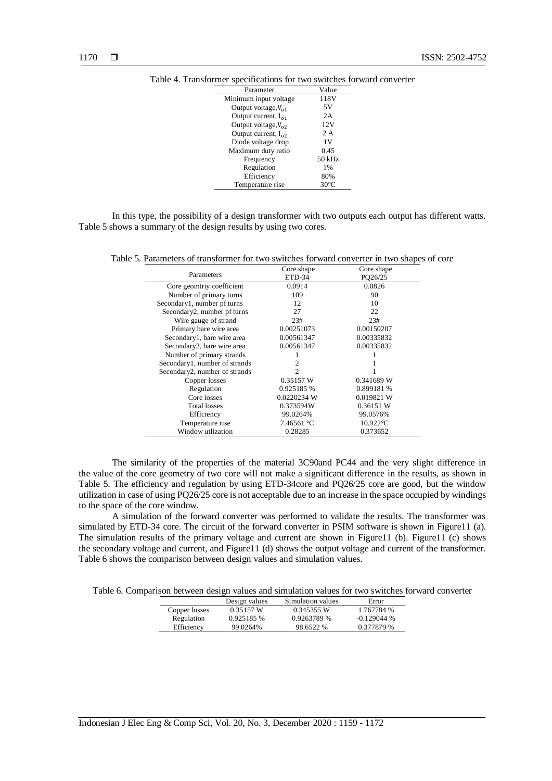| Parameter                | Value          |
|--------------------------|----------------|
| Minimum input voltage    | 118V           |
| Output voltage, $V_{01}$ | 5V             |
| Output current, $I_{01}$ | 2A             |
| Output voltage, $V_{02}$ | 12V            |
| Output current, $I_{02}$ | 2 A            |
| Diode voltage drop       | 1V             |
| Maximum duty ratio       | 0.45           |
| Frequency                | 50 kHz         |
| Regulation               | 1%             |
| Efficiency               | 80%            |
| Temperature rise         | $30^{\circ}$ C |

| Table 4. Transformer specifications for two switches forward converter |  |  |  |  |  |  |  |
|------------------------------------------------------------------------|--|--|--|--|--|--|--|
|------------------------------------------------------------------------|--|--|--|--|--|--|--|

In this type, the possibility of a design transformer with two outputs each output has different watts. Table 5 shows a summary of the design results by using two cores.

Table 5. Parameters of transformer for two switches forward converter in two shapes of core

|                               | Core shape     | Core shape  |
|-------------------------------|----------------|-------------|
| Parameters                    | ETD-34         | PQ26/25     |
| Core geomtriy coefficient     | 0.0914         | 0.0826      |
| Number of primary turns       | 109            | 90          |
| Secondary1, number pf turns   | 12             | 10          |
| Secondary2, number pf turns   | 27             | 22          |
| Wire gauge of strand          | 23#            | 23#         |
| Primary bare wire area        | 0.00251073     | 0.00150207  |
| Secondary1, bare wire area    | 0.00561347     | 0.00335832  |
| Secondary2, bare wire area    | 0.00561347     | 0.00335832  |
| Number of primary strands     |                |             |
| Secondary1, number of strands | $\mathfrak{D}$ |             |
| Secondary2, number of strands | 2              |             |
| Copper losses                 | 0.35157 W      | 0.341689 W  |
| Regulation                    | 0.925185 %     | 0.899181 %  |
| Core losses                   | 0.0220234 W    | 0.019821 W  |
| <b>Total losses</b>           | 0.373594W      | 0.36151 W   |
| EffIciency                    | 99.0264%       | 99.0576%    |
| Temperature rise              | 7.46561 °C     | $10.922$ °C |
| Window utlization             | 0.28285        | 0.373652    |

The similarity of the properties of the material 3C90and PC44 and the very slight difference in the value of the core geometry of two core will not make a significant difference in the results, as shown in Table 5. The efficiency and regulation by using ETD-34core and PQ26/25 core are good, but the window utilization in case of using PQ26/25 core is not acceptable due to an increase in the space occupied by windings to the space of the core window.

A simulation of the forward converter was performed to validate the results. The transformer was simulated by ETD-34 core. The circuit of the forward converter in PSIM software is shown in Figure11 (a). The simulation results of the primary voltage and current are shown in Figure11 (b). Figure11 (c) shows the secondary voltage and current, and Figure11 (d) shows the output voltage and current of the transformer. Table 6 shows the comparison between design values and simulation values.

Table 6. Comparison between design values and simulation values for two switches forward converter

|               | Design values | Simulation values | Error        |
|---------------|---------------|-------------------|--------------|
| Copper losses | 0.35157 W     | 0.345355 W        | 1.767784 %   |
| Regulation    | 0.925185 %    | 0.9263789 %       | $-0.129044%$ |
| Efficiency    | 99.0264%      | 98.6522 %         | 0.377879 %   |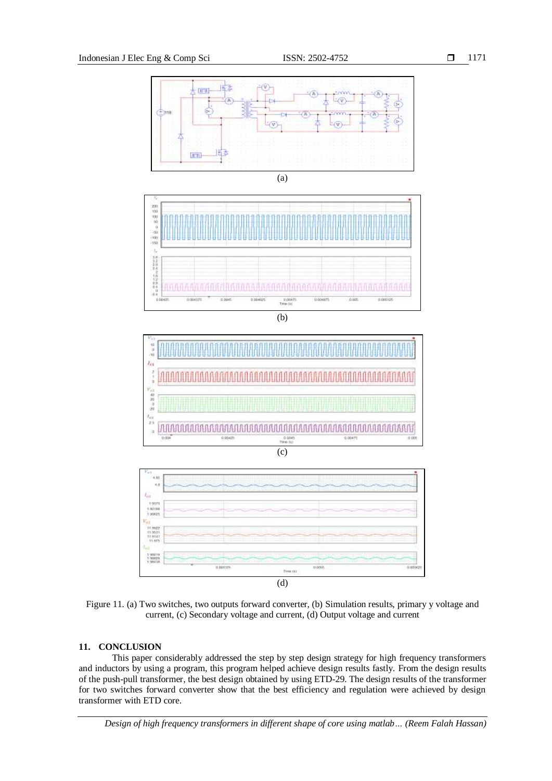

Figure 11. (a) Two switches, two outputs forward converter, (b) Simulation results, primary y voltage and current, (c) Secondary voltage and current, (d) Output voltage and current

# **11. CONCLUSION**

This paper considerably addressed the step by step design strategy for high frequency transformers and inductors by using a program, this program helped achieve design results fastly. From the design results of the push-pull transformer, the best design obtained by using ETD-29. The design results of the transformer for two switches forward converter show that the best efficiency and regulation were achieved by design transformer with ETD core.

*Design of high frequency transformers in different shape of core using matlab… (Reem Falah Hassan)*